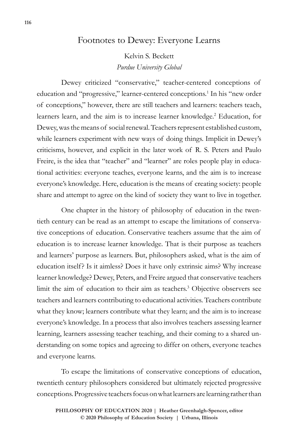# Footnotes to Dewey: Everyone Learns

Kelvin S. Beckett *Purdue University Global*

Dewey criticized "conservative," teacher-centered conceptions of education and "progressive," learner-centered conceptions.1 In his "new order of conceptions," however, there are still teachers and learners: teachers teach, learners learn, and the aim is to increase learner knowledge.<sup>2</sup> Education, for Dewey, was the means of social renewal. Teachers represent established custom, while learners experiment with new ways of doing things. Implicit in Dewey's criticisms, however, and explicit in the later work of R. S. Peters and Paulo Freire, is the idea that "teacher" and "learner" are roles people play in educational activities: everyone teaches, everyone learns, and the aim is to increase everyone's knowledge. Here, education is the means of creating society: people share and attempt to agree on the kind of society they want to live in together.

One chapter in the history of philosophy of education in the twentieth century can be read as an attempt to escape the limitations of conservative conceptions of education. Conservative teachers assume that the aim of education is to increase learner knowledge. That is their purpose as teachers and learners' purpose as learners. But, philosophers asked, what is the aim of education itself? Is it aimless? Does it have only extrinsic aims? Why increase learner knowledge? Dewey, Peters, and Freire argued that conservative teachers limit the aim of education to their aim as teachers.3 Objective observers see teachers and learners contributing to educational activities. Teachers contribute what they know; learners contribute what they learn; and the aim is to increase everyone's knowledge. In a process that also involves teachers assessing learner learning, learners assessing teacher teaching, and their coming to a shared understanding on some topics and agreeing to differ on others, everyone teaches and everyone learns.

To escape the limitations of conservative conceptions of education, twentieth century philosophers considered but ultimately rejected progressive conceptions. Progressive teachers focus on what learners are learning rather than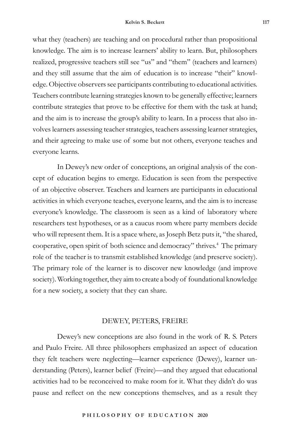what they (teachers) are teaching and on procedural rather than propositional knowledge. The aim is to increase learners' ability to learn. But, philosophers realized, progressive teachers still see "us" and "them" (teachers and learners) and they still assume that the aim of education is to increase "their" knowledge. Objective observers see participants contributing to educational activities. Teachers contribute learning strategies known to be generally effective; learners contribute strategies that prove to be effective for them with the task at hand; and the aim is to increase the group's ability to learn. In a process that also involves learners assessing teacher strategies, teachers assessing learner strategies, and their agreeing to make use of some but not others, everyone teaches and everyone learns.

In Dewey's new order of conceptions, an original analysis of the concept of education begins to emerge. Education is seen from the perspective of an objective observer. Teachers and learners are participants in educational activities in which everyone teaches, everyone learns, and the aim is to increase everyone's knowledge. The classroom is seen as a kind of laboratory where researchers test hypotheses, or as a caucus room where party members decide who will represent them. It is a space where, as Joseph Betz puts it, "the shared, cooperative, open spirit of both science and democracy" thrives.4 The primary role of the teacher is to transmit established knowledge (and preserve society). The primary role of the learner is to discover new knowledge (and improve society). Working together, they aim to create a body of foundational knowledge for a new society, a society that they can share.

### DEWEY, PETERS, FREIRE

Dewey's new conceptions are also found in the work of R. S. Peters and Paulo Freire. All three philosophers emphasized an aspect of education they felt teachers were neglecting—learner experience (Dewey), learner understanding (Peters), learner belief (Freire)—and they argued that educational activities had to be reconceived to make room for it. What they didn't do was pause and reflect on the new conceptions themselves, and as a result they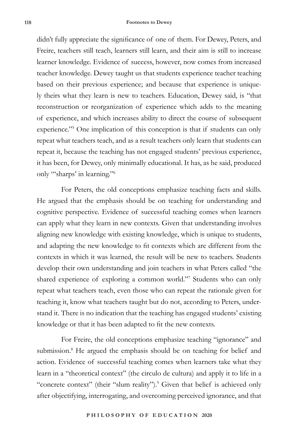didn't fully appreciate the significance of one of them. For Dewey, Peters, and Freire, teachers still teach, learners still learn, and their aim is still to increase learner knowledge. Evidence of success, however, now comes from increased teacher knowledge. Dewey taught us that students experience teacher teaching based on their previous experience; and because that experience is uniquely theirs what they learn is new to teachers. Education, Dewey said, is "that reconstruction or reorganization of experience which adds to the meaning of experience, and which increases ability to direct the course of subsequent experience."<sup>5</sup> One implication of this conception is that if students can only repeat what teachers teach, and as a result teachers only learn that students can repeat it, because the teaching has not engaged students' previous experience, it has been, for Dewey, only minimally educational. It has, as he said, produced only "'sharps' in learning."6

For Peters, the old conceptions emphasize teaching facts and skills. He argued that the emphasis should be on teaching for understanding and cognitive perspective. Evidence of successful teaching comes when learners can apply what they learn in new contexts. Given that understanding involves aligning new knowledge with existing knowledge, which is unique to students, and adapting the new knowledge to fit contexts which are different from the contexts in which it was learned, the result will be new to teachers. Students develop their own understanding and join teachers in what Peters called "the shared experience of exploring a common world."7 Students who can only repeat what teachers teach, even those who can repeat the rationale given for teaching it, know what teachers taught but do not, according to Peters, understand it. There is no indication that the teaching has engaged students' existing knowledge or that it has been adapted to fit the new contexts.

For Freire, the old conceptions emphasize teaching "ignorance" and submission.<sup>8</sup> He argued the emphasis should be on teaching for belief and action. Evidence of successful teaching comes when learners take what they learn in a "theoretical context" (the circulo de cultura) and apply it to life in a "concrete context" (their "slum reality").<sup>9</sup> Given that belief is achieved only after objectifying, interrogating, and overcoming perceived ignorance, and that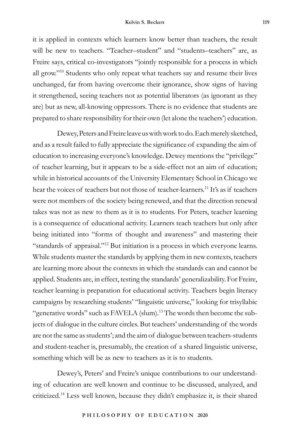it is applied in contexts which learners know better than teachers, the result will be new to teachers. "Teacher–student" and "students–teachers" are, as Freire says, critical co-investigators "jointly responsible for a process in which all grow."10 Students who only repeat what teachers say and resume their lives unchanged, far from having overcome their ignorance, show signs of having it strengthened, seeing teachers not as potential liberators (as ignorant as they are) but as new, all-knowing oppressors. There is no evidence that students are prepared to share responsibility for their own (let alone the teachers') education.

Dewey, Peters and Freire leave us with work to do. Each merely sketched, and as a result failed to fully appreciate the significance of expanding the aim of education to increasing everyone's knowledge. Dewey mentions the "privilege" of teacher learning, but it appears to be a side-effect not an aim of education; while in historical accounts of the University Elementary School in Chicago we hear the voices of teachers but not those of teacher-learners.<sup>11</sup> It's as if teachers were not members of the society being renewed, and that the direction renewal takes was not as new to them as it is to students. For Peters, teacher learning is a consequence of educational activity. Learners teach teachers but only after being initiated into "forms of thought and awareness" and mastering their "standards of appraisal."<sup>12</sup> But initiation is a process in which everyone learns. While students master the standards by applying them in new contexts, teachers are learning more about the contexts in which the standards can and cannot be applied. Students are, in effect, testing the standards' generalizability. For Freire, teacher learning is preparation for educational activity. Teachers begin literacy campaigns by researching students' "linguistic universe," looking for trisyllabic "generative words" such as FAVELA (slum).<sup>13</sup> The words then become the subjects of dialogue in the culture circles. But teachers' understanding of the words are not the same as students'; and the aim of dialogue between teachers-students and student-teacher is, presumably, the creation of a shared linguistic universe, something which will be as new to teachers as it is to students.

Dewey's, Peters' and Freire's unique contributions to our understanding of education are well known and continue to be discussed, analyzed, and criticized.14 Less well known, because they didn't emphasize it, is their shared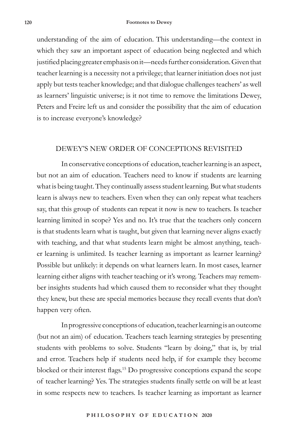understanding of the aim of education. This understanding—the context in which they saw an important aspect of education being neglected and which justified placing greater emphasis on it—needs further consideration. Given that teacher learning is a necessity not a privilege; that learner initiation does not just apply but tests teacher knowledge; and that dialogue challenges teachers' as well as learners' linguistic universe; is it not time to remove the limitations Dewey, Peters and Freire left us and consider the possibility that the aim of education is to increase everyone's knowledge?

### DEWEY'S NEW ORDER OF CONCEPTIONS REVISITED

In conservative conceptions of education, teacher learning is an aspect, but not an aim of education. Teachers need to know if students are learning what is being taught. They continually assess student learning. But what students learn is always new to teachers. Even when they can only repeat what teachers say, that this group of students can repeat it now is new to teachers. Is teacher learning limited in scope? Yes and no. It's true that the teachers only concern is that students learn what is taught, but given that learning never aligns exactly with teaching, and that what students learn might be almost anything, teacher learning is unlimited. Is teacher learning as important as learner learning? Possible but unlikely: it depends on what learners learn. In most cases, learner learning either aligns with teacher teaching or it's wrong. Teachers may remember insights students had which caused them to reconsider what they thought they knew, but these are special memories because they recall events that don't happen very often.

In progressive conceptions of education, teacher learning is an outcome (but not an aim) of education. Teachers teach learning strategies by presenting students with problems to solve. Students "learn by doing," that is, by trial and error. Teachers help if students need help, if for example they become blocked or their interest flags.15 Do progressive conceptions expand the scope of teacher learning? Yes. The strategies students finally settle on will be at least in some respects new to teachers. Is teacher learning as important as learner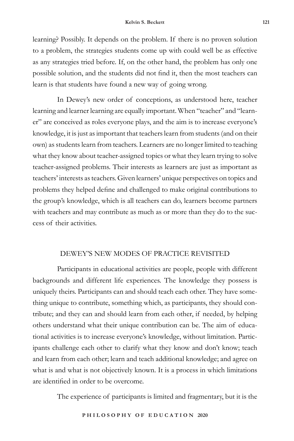learning? Possibly. It depends on the problem. If there is no proven solution to a problem, the strategies students come up with could well be as effective as any strategies tried before. If, on the other hand, the problem has only one possible solution, and the students did not find it, then the most teachers can learn is that students have found a new way of going wrong.

In Dewey's new order of conceptions, as understood here, teacher learning and learner learning are equally important. When "teacher" and "learner" are conceived as roles everyone plays, and the aim is to increase everyone's knowledge, it is just as important that teachers learn from students (and on their own) as students learn from teachers. Learners are no longer limited to teaching what they know about teacher-assigned topics or what they learn trying to solve teacher-assigned problems. Their interests as learners are just as important as teachers' interests as teachers. Given learners' unique perspectives on topics and problems they helped define and challenged to make original contributions to the group's knowledge, which is all teachers can do, learners become partners with teachers and may contribute as much as or more than they do to the success of their activities.

# DEWEY'S NEW MODES OF PRACTICE REVISITED

Participants in educational activities are people, people with different backgrounds and different life experiences. The knowledge they possess is uniquely theirs. Participants can and should teach each other. They have something unique to contribute, something which, as participants, they should contribute; and they can and should learn from each other, if needed, by helping others understand what their unique contribution can be. The aim of educational activities is to increase everyone's knowledge, without limitation. Participants challenge each other to clarify what they know and don't know; teach and learn from each other; learn and teach additional knowledge; and agree on what is and what is not objectively known. It is a process in which limitations are identified in order to be overcome.

The experience of participants is limited and fragmentary, but it is the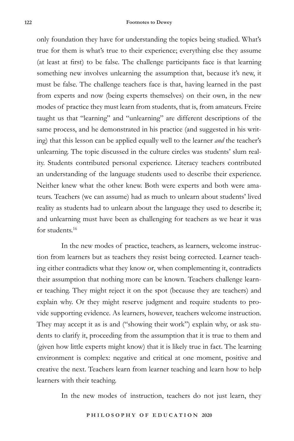only foundation they have for understanding the topics being studied. What's true for them is what's true to their experience; everything else they assume (at least at first) to be false. The challenge participants face is that learning something new involves unlearning the assumption that, because it's new, it must be false. The challenge teachers face is that, having learned in the past from experts and now (being experts themselves) on their own, in the new modes of practice they must learn from students, that is, from amateurs. Freire taught us that "learning" and "unlearning" are different descriptions of the same process, and he demonstrated in his practice (and suggested in his writing) that this lesson can be applied equally well to the learner *and* the teacher's unlearning. The topic discussed in the culture circles was students' slum reality. Students contributed personal experience. Literacy teachers contributed an understanding of the language students used to describe their experience. Neither knew what the other knew. Both were experts and both were amateurs. Teachers (we can assume) had as much to unlearn about students' lived reality as students had to unlearn about the language they used to describe it; and unlearning must have been as challenging for teachers as we hear it was for students.<sup>16</sup>

In the new modes of practice, teachers, as learners, welcome instruction from learners but as teachers they resist being corrected. Learner teaching either contradicts what they know or, when complementing it, contradicts their assumption that nothing more can be known. Teachers challenge learner teaching. They might reject it on the spot (because they are teachers) and explain why. Or they might reserve judgment and require students to provide supporting evidence. As learners, however, teachers welcome instruction. They may accept it as is and ("showing their work") explain why, or ask students to clarify it, proceeding from the assumption that it is true to them and (given how little experts might know) that it is likely true in fact. The learning environment is complex: negative and critical at one moment, positive and creative the next. Teachers learn from learner teaching and learn how to help learners with their teaching.

In the new modes of instruction, teachers do not just learn, they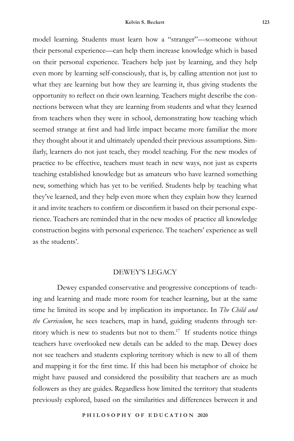model learning. Students must learn how a "stranger"—someone without their personal experience—can help them increase knowledge which is based on their personal experience. Teachers help just by learning, and they help even more by learning self-consciously, that is, by calling attention not just to what they are learning but how they are learning it, thus giving students the opportunity to reflect on their own learning. Teachers might describe the connections between what they are learning from students and what they learned from teachers when they were in school, demonstrating how teaching which seemed strange at first and had little impact became more familiar the more they thought about it and ultimately upended their previous assumptions. Similarly, learners do not just teach, they model teaching. For the new modes of practice to be effective, teachers must teach in new ways, not just as experts teaching established knowledge but as amateurs who have learned something new, something which has yet to be verified. Students help by teaching what they've learned, and they help even more when they explain how they learned it and invite teachers to confirm or disconfirm it based on their personal experience. Teachers are reminded that in the new modes of practice all knowledge construction begins with personal experience. The teachers' experience as well as the students'.

#### DEWEY'S LEGACY

Dewey expanded conservative and progressive conceptions of teaching and learning and made more room for teacher learning, but at the same time he limited its scope and by implication its importance. In *The Child and the Curriculum*, he sees teachers, map in hand, guiding students through territory which is new to students but not to them.17 If students notice things teachers have overlooked new details can be added to the map. Dewey does not see teachers and students exploring territory which is new to all of them and mapping it for the first time. If this had been his metaphor of choice he might have paused and considered the possibility that teachers are as much followers as they are guides. Regardless how limited the territory that students previously explored, based on the similarities and differences between it and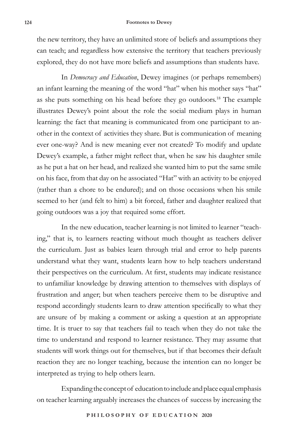#### **124 Footnotes to Dewey**

the new territory, they have an unlimited store of beliefs and assumptions they can teach; and regardless how extensive the territory that teachers previously explored, they do not have more beliefs and assumptions than students have.

In *Democracy and Education*, Dewey imagines (or perhaps remembers) an infant learning the meaning of the word "hat" when his mother says "hat" as she puts something on his head before they go outdoors.18 The example illustrates Dewey's point about the role the social medium plays in human learning: the fact that meaning is communicated from one participant to another in the context of activities they share. But is communication of meaning ever one-way? And is new meaning ever not created? To modify and update Dewey's example, a father might reflect that, when he saw his daughter smile as he put a hat on her head, and realized she wanted him to put the same smile on his face, from that day on he associated "Hat" with an activity to be enjoyed (rather than a chore to be endured); and on those occasions when his smile seemed to her (and felt to him) a bit forced, father and daughter realized that going outdoors was a joy that required some effort.

In the new education, teacher learning is not limited to learner "teaching," that is, to learners reacting without much thought as teachers deliver the curriculum. Just as babies learn through trial and error to help parents understand what they want, students learn how to help teachers understand their perspectives on the curriculum. At first, students may indicate resistance to unfamiliar knowledge by drawing attention to themselves with displays of frustration and anger; but when teachers perceive them to be disruptive and respond accordingly students learn to draw attention specifically to what they are unsure of by making a comment or asking a question at an appropriate time. It is truer to say that teachers fail to teach when they do not take the time to understand and respond to learner resistance. They may assume that students will work things out for themselves, but if that becomes their default reaction they are no longer teaching, because the intention can no longer be interpreted as trying to help others learn.

Expanding the concept of education to include and place equal emphasis on teacher learning arguably increases the chances of success by increasing the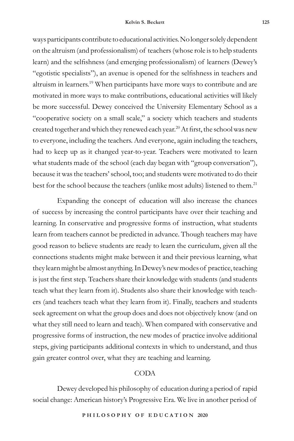ways participants contribute to educational activities. No longer solely dependent on the altruism (and professionalism) of teachers (whose role is to help students learn) and the selfishness (and emerging professionalism) of learners (Dewey's "egotistic specialists"), an avenue is opened for the selfishness in teachers and altruism in learners.19 When participants have more ways to contribute and are motivated in more ways to make contributions, educational activities will likely be more successful. Dewey conceived the University Elementary School as a "cooperative society on a small scale," a society which teachers and students created together and which they renewed each year.<sup>20</sup> At first, the school was new to everyone, including the teachers. And everyone, again including the teachers, had to keep up as it changed year-to-year. Teachers were motivated to learn what students made of the school (each day began with "group conversation"), because it was the teachers' school, too; and students were motivated to do their best for the school because the teachers (unlike most adults) listened to them.<sup>21</sup>

Expanding the concept of education will also increase the chances of success by increasing the control participants have over their teaching and learning. In conservative and progressive forms of instruction, what students learn from teachers cannot be predicted in advance. Though teachers may have good reason to believe students are ready to learn the curriculum, given all the connections students might make between it and their previous learning, what they learn might be almost anything. In Dewey's new modes of practice, teaching is just the first step. Teachers share their knowledge with students (and students teach what they learn from it). Students also share their knowledge with teachers (and teachers teach what they learn from it). Finally, teachers and students seek agreement on what the group does and does not objectively know (and on what they still need to learn and teach). When compared with conservative and progressive forms of instruction, the new modes of practice involve additional steps, giving participants additional contexts in which to understand, and thus gain greater control over, what they are teaching and learning.

## CODA

Dewey developed his philosophy of education during a period of rapid social change: American history's Progressive Era. We live in another period of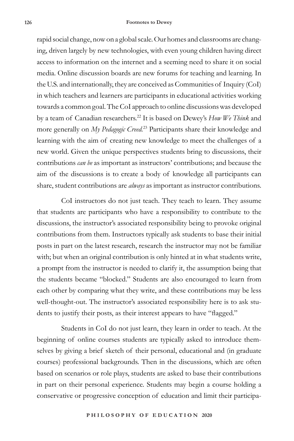rapid social change, now on a global scale. Our homes and classrooms are changing, driven largely by new technologies, with even young children having direct access to information on the internet and a seeming need to share it on social media. Online discussion boards are new forums for teaching and learning. In the U.S. and internationally, they are conceived as Communities of Inquiry (CoI) in which teachers and learners are participants in educational activities working towards a common goal. The CoI approach to online discussions was developed by a team of Canadian researchers.22 It is based on Dewey's *How We Think* and more generally on *My Pedagogic Creed.*<sup>23</sup> Participants share their knowledge and learning with the aim of creating new knowledge to meet the challenges of a new world. Given the unique perspectives students bring to discussions, their contributions *can be* as important as instructors' contributions; and because the aim of the discussions is to create a body of knowledge all participants can share, student contributions are *always* as important as instructor contributions.

CoI instructors do not just teach. They teach to learn. They assume that students are participants who have a responsibility to contribute to the discussions, the instructor's associated responsibility being to provoke original contributions from them. Instructors typically ask students to base their initial posts in part on the latest research, research the instructor may not be familiar with; but when an original contribution is only hinted at in what students write, a prompt from the instructor is needed to clarify it, the assumption being that the students became "blocked." Students are also encouraged to learn from each other by comparing what they write, and these contributions may be less well-thought-out. The instructor's associated responsibility here is to ask students to justify their posts, as their interest appears to have "flagged."

Students in CoI do not just learn, they learn in order to teach. At the beginning of online courses students are typically asked to introduce themselves by giving a brief sketch of their personal, educational and (in graduate courses) professional backgrounds. Then in the discussions, which are often based on scenarios or role plays, students are asked to base their contributions in part on their personal experience. Students may begin a course holding a conservative or progressive conception of education and limit their participa-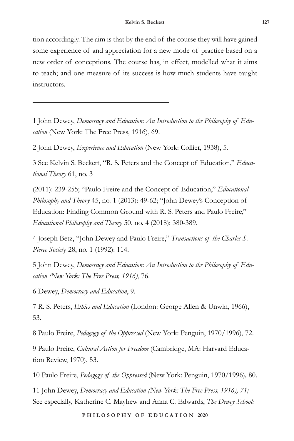tion accordingly. The aim is that by the end of the course they will have gained some experience of and appreciation for a new mode of practice based on a new order of conceptions. The course has, in effect, modelled what it aims to teach; and one measure of its success is how much students have taught instructors.

1 John Dewey, *Democracy and Education: An Introduction to the Philosophy of Education* (New York: The Free Press, 1916), 69.

2 John Dewey, *Experience and Education* (New York: Collier, 1938), 5.

3 See Kelvin S. Beckett, "R. S. Peters and the Concept of Education," *Educational Theory* 61, no. 3

(2011): 239-255; "Paulo Freire and the Concept of Education," *Educational Philosophy and Theory* 45, no. 1 (2013): 49-62; "John Dewey's Conception of Education: Finding Common Ground with R. S. Peters and Paulo Freire," *Educational Philosophy and Theory* 50, no. 4 (2018): 380-389.

4 Joseph Betz, "John Dewey and Paulo Freire," *Transactions of the Charles S. Pierce Societ*y 28, no. 1 (1992): 114.

5 John Dewey, *Democracy and Education: An Introduction to the Philosophy of Education (New York: The Free Press, 1916)*, 76.

6 Dewey, *Democracy and Education*, 9.

7 R. S. Peters, *Ethics and Education* (London: George Allen & Unwin, 1966), 53.

8 Paulo Freire, *Pedagogy of the Oppressed* (New York: Penguin, 1970/1996), 72.

9 Paulo Freire, *Cultural Action for Freedom* (Cambridge, MA: Harvard Education Review, 1970), 53.

10 Paulo Freire, *Pedagogy of the Oppressed* (New York: Penguin, 1970/1996)*,* 80.

11 John Dewey, *Democracy and Education (New York: The Free Press, 1916), 71;* See especially, Katherine C. Mayhew and Anna C. Edwards, *The Dewey School:*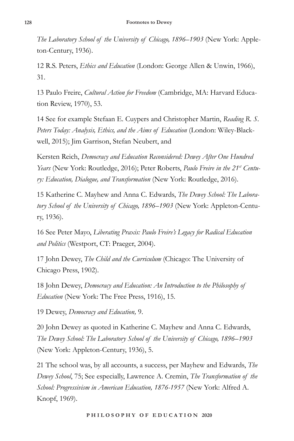*The Laboratory School of the University of Chicago, 1896–1903* (New York: Appleton-Century, 1936).

12 R.S. Peters, *Ethics and Education* (London: George Allen & Unwin, 1966), 31.

13 Paulo Freire, *Cultural Action for Freedom* (Cambridge, MA: Harvard Education Review, 1970), 53.

14 See for example Stefaan E. Cuypers and Christopher Martin, *Reading R. S. Peters Today: Analysis, Ethics, and the Aims of Education* (London: Wiley-Blackwell, 2015); Jim Garrison, Stefan Neubert, and

Kersten Reich, *Democracy and Education Reconsidered: Dewey After One Hundred Years* (New York: Routledge, 2016); Peter Roberts, *Paulo Freire in the 21st Century: Education, Dialogue, and Transformation* (New York: Routledge, 2016).

15 Katherine C. Mayhew and Anna C. Edwards, *The Dewey School: The Laboratory School of the University of Chicago, 1896–1903* (New York: Appleton-Century, 1936).

16 See Peter Mayo, *Liberating Praxis: Paulo Freire's Legacy for Radical Education and Politics* (Westport, CT: Praeger, 2004).

17 John Dewey, *The Child and the Curriculum* (Chicago: The University of Chicago Press, 1902).

18 John Dewey, *Democracy and Education: An Introduction to the Philosophy of Education* (New York: The Free Press, 1916), 15.

19 Dewey, *Democracy and Education,* 9.

20 John Dewey as quoted in Katherine C. Mayhew and Anna C. Edwards, *The Dewey School: The Laboratory School of the University of Chicago, 1896–1903*  (New York: Appleton-Century, 1936), 5.

21 The school was, by all accounts, a success, per Mayhew and Edwards, *The Dewey School*, 75; See especially, Lawrence A. Cremin, *The Transformation of the School: Progressivism in American Education, 1876-1957* (New York: Alfred A. Knopf, 1969).